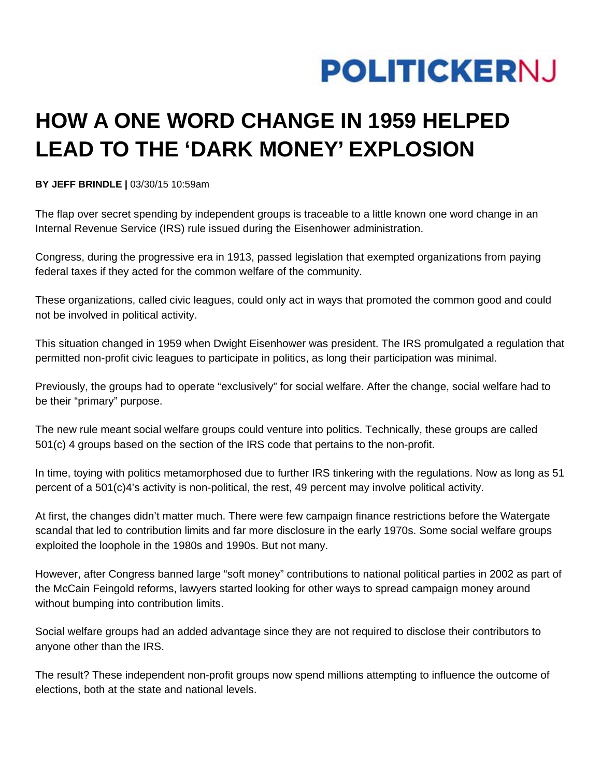

## **HOW A ONE WORD CHANGE IN 1959 HELPED LEAD TO THE 'DARK MONEY' EXPLOSION**

**BY JEFF BRINDLE |** 03/30/15 10:59am

The flap over secret spending by independent groups is traceable to a little known one word change in an Internal Revenue Service (IRS) rule issued during the Eisenhower administration.

Congress, during the progressive era in 1913, passed legislation that exempted organizations from paying federal taxes if they acted for the common welfare of the community.

These organizations, called civic leagues, could only act in ways that promoted the common good and could not be involved in political activity.

This situation changed in 1959 when Dwight Eisenhower was president. The IRS promulgated a regulation that permitted non-profit civic leagues to participate in politics, as long their participation was minimal.

Previously, the groups had to operate "exclusively" for social welfare. After the change, social welfare had to be their "primary" purpose.

The new rule meant social welfare groups could venture into politics. Technically, these groups are called 501(c) 4 groups based on the section of the IRS code that pertains to the non-profit.

In time, toying with politics metamorphosed due to further IRS tinkering with the regulations. Now as long as 51 percent of a 501(c)4's activity is non-political, the rest, 49 percent may involve political activity.

At first, the changes didn't matter much. There were few campaign finance restrictions before the Watergate scandal that led to contribution limits and far more disclosure in the early 1970s. Some social welfare groups exploited the loophole in the 1980s and 1990s. But not many.

However, after Congress banned large "soft money" contributions to national political parties in 2002 as part of the McCain Feingold reforms, lawyers started looking for other ways to spread campaign money around without bumping into contribution limits.

Social welfare groups had an added advantage since they are not required to disclose their contributors to anyone other than the IRS.

The result? These independent non-profit groups now spend millions attempting to influence the outcome of elections, both at the state and national levels.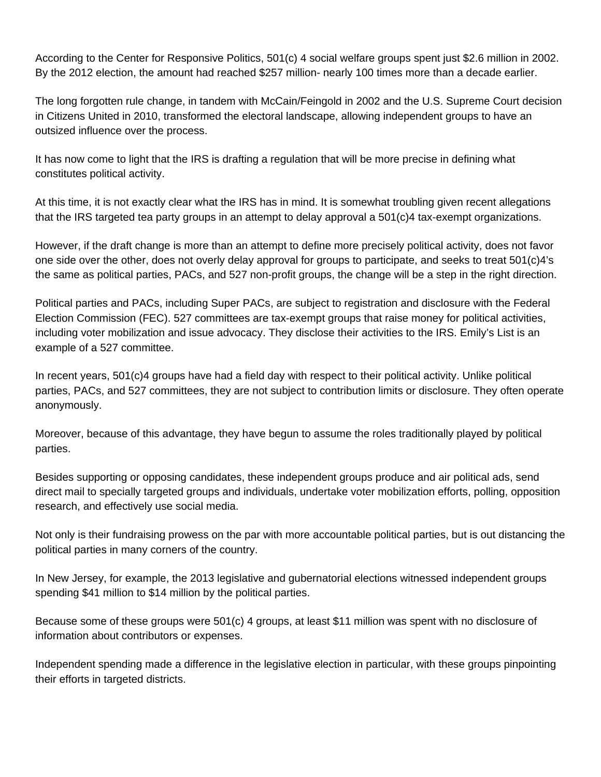According to the Center for Responsive Politics, 501(c) 4 social welfare groups spent just \$2.6 million in 2002. By the 2012 election, the amount had reached \$257 million- nearly 100 times more than a decade earlier.

The long forgotten rule change, in tandem with McCain/Feingold in 2002 and the U.S. Supreme Court decision in Citizens United in 2010, transformed the electoral landscape, allowing independent groups to have an outsized influence over the process.

It has now come to light that the IRS is drafting a regulation that will be more precise in defining what constitutes political activity.

At this time, it is not exactly clear what the IRS has in mind. It is somewhat troubling given recent allegations that the IRS targeted tea party groups in an attempt to delay approval a 501(c)4 tax-exempt organizations.

However, if the draft change is more than an attempt to define more precisely political activity, does not favor one side over the other, does not overly delay approval for groups to participate, and seeks to treat 501(c)4's the same as political parties, PACs, and 527 non-profit groups, the change will be a step in the right direction.

Political parties and PACs, including Super PACs, are subject to registration and disclosure with the Federal Election Commission (FEC). 527 committees are tax-exempt groups that raise money for political activities, including voter mobilization and issue advocacy. They disclose their activities to the IRS. Emily's List is an example of a 527 committee.

In recent years, 501(c)4 groups have had a field day with respect to their political activity. Unlike political parties, PACs, and 527 committees, they are not subject to contribution limits or disclosure. They often operate anonymously.

Moreover, because of this advantage, they have begun to assume the roles traditionally played by political parties.

Besides supporting or opposing candidates, these independent groups produce and air political ads, send direct mail to specially targeted groups and individuals, undertake voter mobilization efforts, polling, opposition research, and effectively use social media.

Not only is their fundraising prowess on the par with more accountable political parties, but is out distancing the political parties in many corners of the country.

In New Jersey, for example, the 2013 legislative and gubernatorial elections witnessed independent groups spending \$41 million to \$14 million by the political parties.

Because some of these groups were 501(c) 4 groups, at least \$11 million was spent with no disclosure of information about contributors or expenses.

Independent spending made a difference in the legislative election in particular, with these groups pinpointing their efforts in targeted districts.